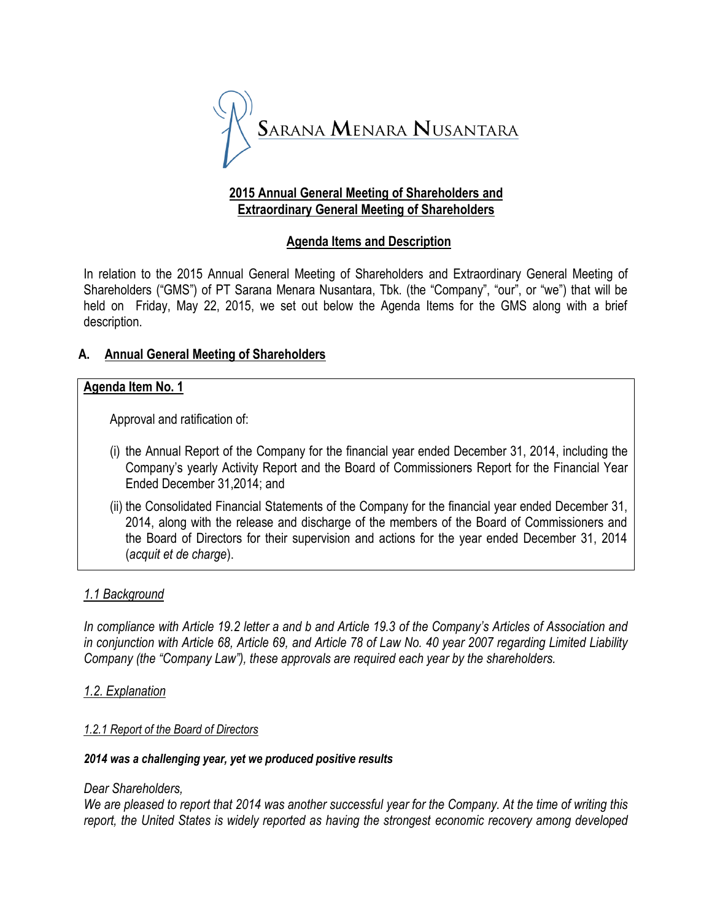

# **2015 Annual General Meeting of Shareholders and Extraordinary General Meeting of Shareholders**

# **Agenda Items and Description**

In relation to the 2015 Annual General Meeting of Shareholders and Extraordinary General Meeting of Shareholders ("GMS") of PT Sarana Menara Nusantara, Tbk. (the "Company", "our", or "we") that will be held on Friday, May 22, 2015, we set out below the Agenda Items for the GMS along with a brief description.

# **A. Annual General Meeting of Shareholders**

# **Agenda Item No. 1**

Approval and ratification of:

- (i) the Annual Report of the Company for the financial year ended December 31, 2014, including the Company's yearly Activity Report and the Board of Commissioners Report for the Financial Year Ended December 31,2014; and
- (ii) the Consolidated Financial Statements of the Company for the financial year ended December 31, 2014, along with the release and discharge of the members of the Board of Commissioners and the Board of Directors for their supervision and actions for the year ended December 31, 2014 (*acquit et de charge*).

# *1.1 Background*

*In compliance with Article 19.2 letter a and b and Article 19.3 of the Company's Articles of Association and in conjunction with Article 68, Article 69, and Article 78 of Law No. 40 year 2007 regarding Limited Liability Company (the "Company Law"), these approvals are required each year by the shareholders.*

# *1.2. Explanation*

# *1.2.1 Report of the Board of Directors*

### *2014 was a challenging year, yet we produced positive results*

### *Dear Shareholders,*

*We are pleased to report that 2014 was another successful year for the Company. At the time of writing this report, the United States is widely reported as having the strongest economic recovery among developed*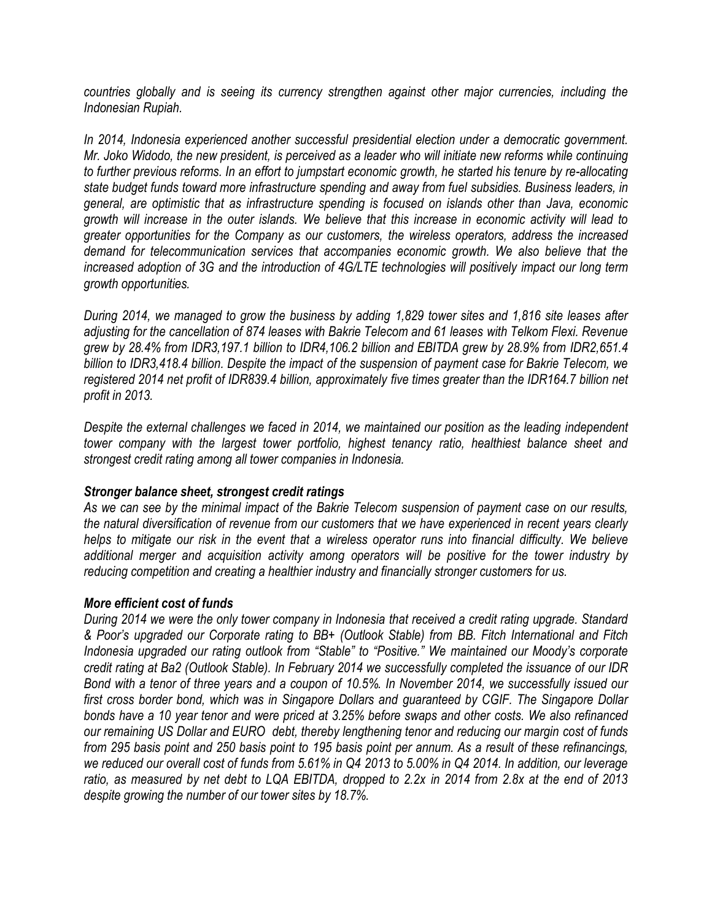*countries globally and is seeing its currency strengthen against other major currencies, including the Indonesian Rupiah.*

*In 2014, Indonesia experienced another successful presidential election under a democratic government. Mr. Joko Widodo, the new president, is perceived as a leader who will initiate new reforms while continuing to further previous reforms. In an effort to jumpstart economic growth, he started his tenure by re-allocating state budget funds toward more infrastructure spending and away from fuel subsidies. Business leaders, in general, are optimistic that as infrastructure spending is focused on islands other than Java, economic growth will increase in the outer islands. We believe that this increase in economic activity will lead to greater opportunities for the Company as our customers, the wireless operators, address the increased demand for telecommunication services that accompanies economic growth. We also believe that the increased adoption of 3G and the introduction of 4G/LTE technologies will positively impact our long term growth opportunities.*

*During 2014, we managed to grow the business by adding 1,829 tower sites and 1,816 site leases after adjusting for the cancellation of 874 leases with Bakrie Telecom and 61 leases with Telkom Flexi. Revenue grew by 28.4% from IDR3,197.1 billion to IDR4,106.2 billion and EBITDA grew by 28.9% from IDR2,651.4 billion to IDR3,418.4 billion. Despite the impact of the suspension of payment case for Bakrie Telecom, we registered 2014 net profit of IDR839.4 billion, approximately five times greater than the IDR164.7 billion net profit in 2013.*

*Despite the external challenges we faced in 2014, we maintained our position as the leading independent tower company with the largest tower portfolio, highest tenancy ratio, healthiest balance sheet and strongest credit rating among all tower companies in Indonesia.*

### *Stronger balance sheet, strongest credit ratings*

*As we can see by the minimal impact of the Bakrie Telecom suspension of payment case on our results, the natural diversification of revenue from our customers that we have experienced in recent years clearly helps to mitigate our risk in the event that a wireless operator runs into financial difficulty. We believe additional merger and acquisition activity among operators will be positive for the tower industry by reducing competition and creating a healthier industry and financially stronger customers for us.*

#### *More efficient cost of funds*

*During 2014 we were the only tower company in Indonesia that received a credit rating upgrade. Standard & Poor's upgraded our Corporate rating to BB+ (Outlook Stable) from BB. Fitch International and Fitch Indonesia upgraded our rating outlook from "Stable" to "Positive." We maintained our Moody's corporate credit rating at Ba2 (Outlook Stable). In February 2014 we successfully completed the issuance of our IDR Bond with a tenor of three years and a coupon of 10.5%. In November 2014, we successfully issued our first cross border bond, which was in Singapore Dollars and guaranteed by CGIF. The Singapore Dollar bonds have a 10 year tenor and were priced at 3.25% before swaps and other costs. We also refinanced our remaining US Dollar and EURO debt, thereby lengthening tenor and reducing our margin cost of funds from 295 basis point and 250 basis point to 195 basis point per annum. As a result of these refinancings, we reduced our overall cost of funds from 5.61% in Q4 2013 to 5.00% in Q4 2014. In addition, our leverage ratio, as measured by net debt to LQA EBITDA, dropped to 2.2x in 2014 from 2.8x at the end of 2013 despite growing the number of our tower sites by 18.7%.*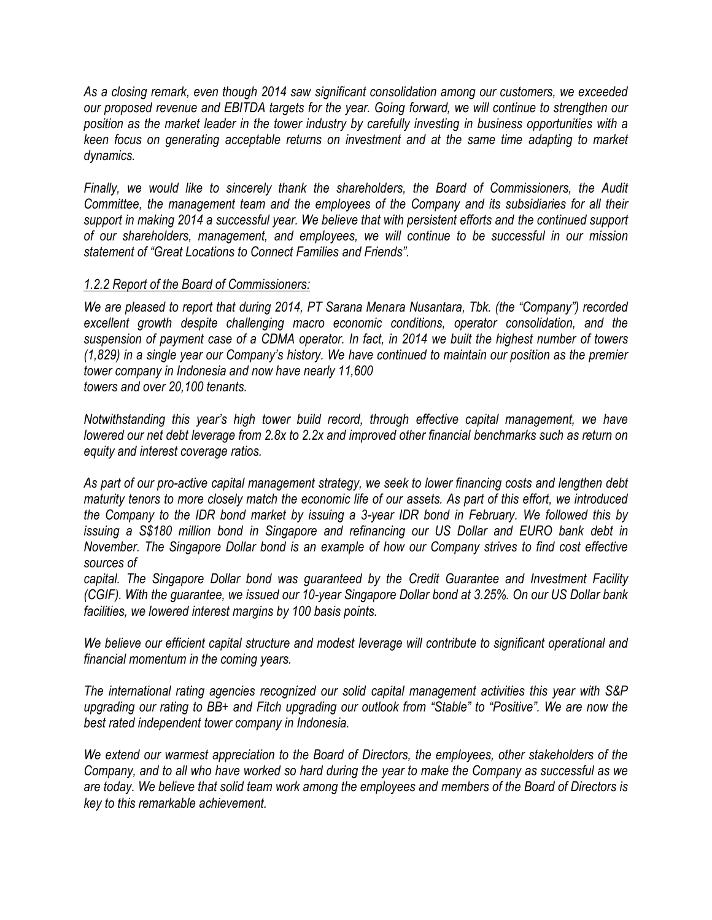*As a closing remark, even though 2014 saw significant consolidation among our customers, we exceeded our proposed revenue and EBITDA targets for the year. Going forward, we will continue to strengthen our position as the market leader in the tower industry by carefully investing in business opportunities with a keen focus on generating acceptable returns on investment and at the same time adapting to market dynamics.*

*Finally, we would like to sincerely thank the shareholders, the Board of Commissioners, the Audit Committee, the management team and the employees of the Company and its subsidiaries for all their support in making 2014 a successful year. We believe that with persistent efforts and the continued support of our shareholders, management, and employees, we will continue to be successful in our mission statement of "Great Locations to Connect Families and Friends".*

# *1.2.2 Report of the Board of Commissioners:*

*We are pleased to report that during 2014, PT Sarana Menara Nusantara, Tbk. (the "Company") recorded excellent growth despite challenging macro economic conditions, operator consolidation, and the suspension of payment case of a CDMA operator. In fact, in 2014 we built the highest number of towers (1,829) in a single year our Company's history. We have continued to maintain our position as the premier tower company in Indonesia and now have nearly 11,600 towers and over 20,100 tenants.*

*Notwithstanding this year's high tower build record, through effective capital management, we have lowered our net debt leverage from 2.8x to 2.2x and improved other financial benchmarks such as return on equity and interest coverage ratios.*

*As part of our pro-active capital management strategy, we seek to lower financing costs and lengthen debt maturity tenors to more closely match the economic life of our assets. As part of this effort, we introduced the Company to the IDR bond market by issuing a 3-year IDR bond in February. We followed this by issuing a S\$180 million bond in Singapore and refinancing our US Dollar and EURO bank debt in November. The Singapore Dollar bond is an example of how our Company strives to find cost effective sources of*

*capital. The Singapore Dollar bond was guaranteed by the Credit Guarantee and Investment Facility (CGIF). With the guarantee, we issued our 10-year Singapore Dollar bond at 3.25%. On our US Dollar bank facilities, we lowered interest margins by 100 basis points.*

*We believe our efficient capital structure and modest leverage will contribute to significant operational and financial momentum in the coming years.*

*The international rating agencies recognized our solid capital management activities this year with S&P upgrading our rating to BB+ and Fitch upgrading our outlook from "Stable" to "Positive". We are now the best rated independent tower company in Indonesia.*

*We extend our warmest appreciation to the Board of Directors, the employees, other stakeholders of the Company, and to all who have worked so hard during the year to make the Company as successful as we are today. We believe that solid team work among the employees and members of the Board of Directors is key to this remarkable achievement.*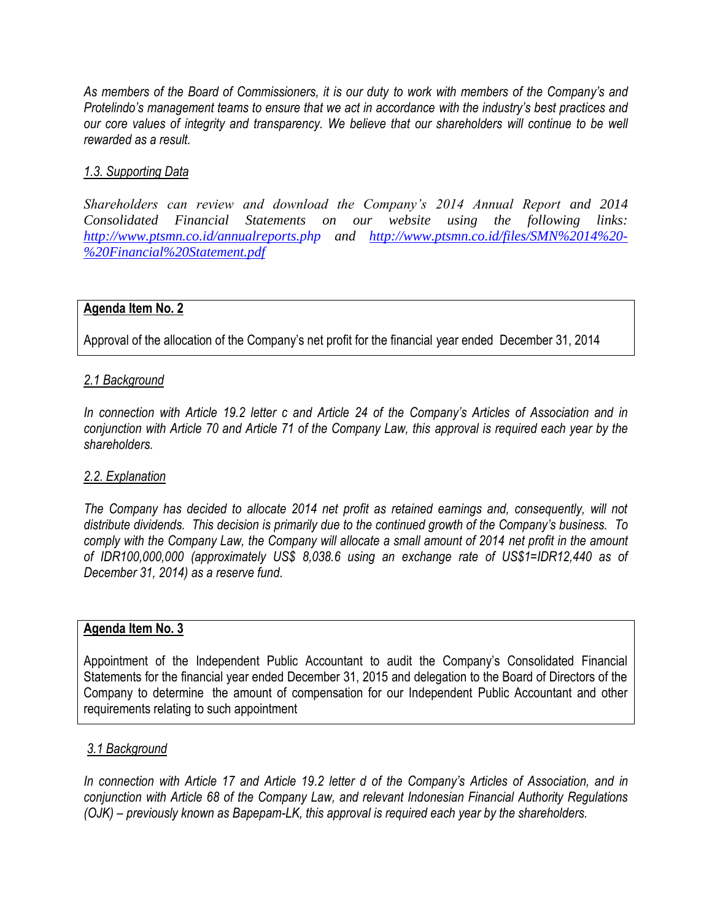*As members of the Board of Commissioners, it is our duty to work with members of the Company's and Protelindo's management teams to ensure that we act in accordance with the industry's best practices and our core values of integrity and transparency. We believe that our shareholders will continue to be well rewarded as a result.*

# *1.3. Supporting Data*

*Shareholders can review and download the Company's 2014 Annual Report and 2014 Consolidated Financial Statements on our website using the following links: <http://www.ptsmn.co.id/annualreports.php> and [http://www.ptsmn.co.id/files/SMN%2014%20-](http://www.ptsmn.co.id/files/SMN%2014%20-%20Financial%20Statement.pdf) [%20Financial%20Statement.pdf](http://www.ptsmn.co.id/files/SMN%2014%20-%20Financial%20Statement.pdf)* 

### **Agenda Item No. 2**

Approval of the allocation of the Company's net profit for the financial year ended December 31, 2014

### *2.1 Background*

*In connection with Article 19.2 letter c and Article 24 of the Company's Articles of Association and in conjunction with Article 70 and Article 71 of the Company Law, this approval is required each year by the shareholders.*

### *2.2. Explanation*

*The Company has decided to allocate 2014 net profit as retained earnings and, consequently, will not distribute dividends. This decision is primarily due to the continued growth of the Company's business. To comply with the Company Law, the Company will allocate a small amount of 2014 net profit in the amount of IDR100,000,000 (approximately US\$ 8,038.6 using an exchange rate of US\$1=IDR12,440 as of December 31, 2014) as a reserve fund.*

### **Agenda Item No. 3**

Appointment of the Independent Public Accountant to audit the Company's Consolidated Financial Statements for the financial year ended December 31, 2015 and delegation to the Board of Directors of the Company to determine the amount of compensation for our Independent Public Accountant and other requirements relating to such appointment

# *3.1 Background*

*In connection with Article 17 and Article 19.2 letter d of the Company's Articles of Association, and in conjunction with Article 68 of the Company Law, and relevant Indonesian Financial Authority Regulations (OJK) – previously known as Bapepam-LK, this approval is required each year by the shareholders.*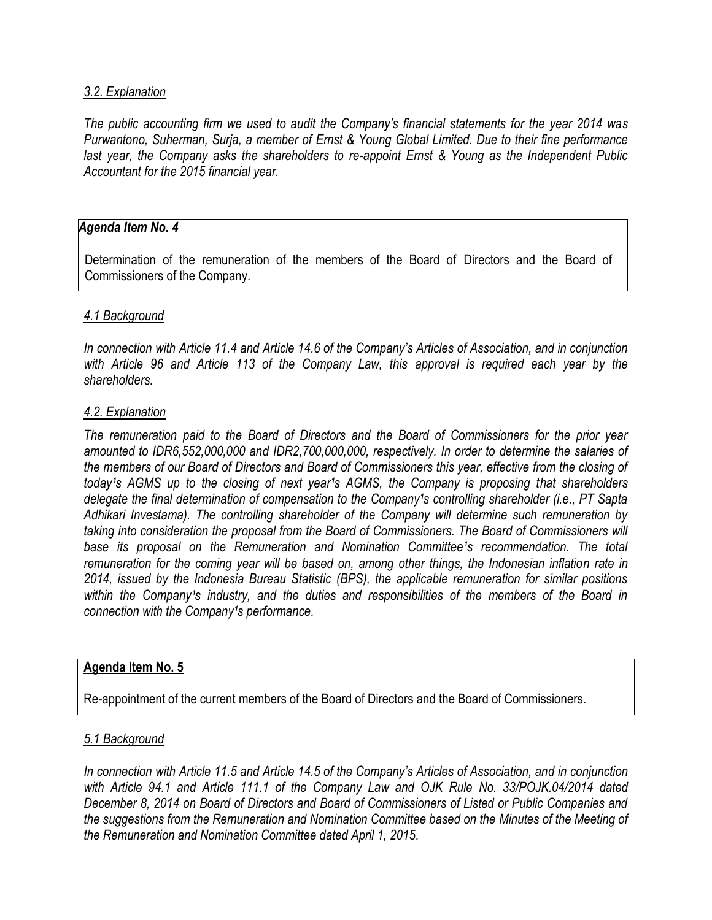### *3.2. Explanation*

*The public accounting firm we used to audit the Company's financial statements for the year 2014 was Purwantono, Suherman, Surja, a member of Ernst & Young Global Limited. Due to their fine performance last year, the Company asks the shareholders to re-appoint Ernst & Young as the Independent Public Accountant for the 2015 financial year.*

### *Agenda Item No. 4*

Determination of the remuneration of the members of the Board of Directors and the Board of Commissioners of the Company.

### *4.1 Background*

*In connection with Article 11.4 and Article 14.6 of the Company's Articles of Association, and in conjunction with Article 96 and Article 113 of the Company Law, this approval is required each year by the shareholders.*

#### *4.2. Explanation*

*The remuneration paid to the Board of Directors and the Board of Commissioners for the prior year amounted to IDR6,552,000,000 and IDR2,700,000,000, respectively. In order to determine the salaries of the members of our Board of Directors and Board of Commissioners this year, effective from the closing of today's AGMS up to the closing of next year's AGMS, the Company is proposing that shareholders* delegate the final determination of compensation to the Company<sup>1</sup>s controlling shareholder (i.e., PT Sapta *Adhikari Investama). The controlling shareholder of the Company will determine such remuneration by taking into consideration the proposal from the Board of Commissioners. The Board of Commissioners will*  base its proposal on the Remuneration and Nomination Committee<sup>1</sup>s recommendation. The total *remuneration for the coming year will be based on, among other things, the Indonesian inflation rate in 2014, issued by the Indonesia Bureau Statistic (BPS), the applicable remuneration for similar positions*  within the Company's industry, and the duties and responsibilities of the members of the Board in *connection with the Company's performance.* 

#### **Agenda Item No. 5**

Re-appointment of the current members of the Board of Directors and the Board of Commissioners.

### *5.1 Background*

*In connection with Article 11.5 and Article 14.5 of the Company's Articles of Association, and in conjunction with Article 94.1 and Article 111.1 of the Company Law and OJK Rule No. 33/POJK.04/2014 dated December 8, 2014 on Board of Directors and Board of Commissioners of Listed or Public Companies and the suggestions from the Remuneration and Nomination Committee based on the Minutes of the Meeting of the Remuneration and Nomination Committee dated April 1, 2015.*